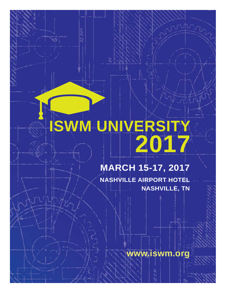# **ISWM UNIVERSITY 2017**

 $\frac{3}{2}$ 

# **MARCH 15-17, 2017**

**NASHVILLE AIRPORT HOTEL NASHVILLE, TN**

**www.iswm.org**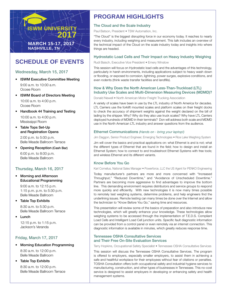

### **SCHEDULE OF EVENTS**

#### Wednesday, March 15, 2017

- ISWM Executive Committee Meeting 9:00 a.m. to 10:00 a.m. Ocoee Room
- ISWM Board of Directors Meeting 10:00 a.m. to 4:00 p.m.

Ocoee Room

• Handbook 44 Training and Testing

10:00 a.m. to 4:00 p.m. Mississippi Room

• Table Tops Set-Up and Registration Opens

2:00 p.m. to 5:00 p.m. Belle Meade Ballroom Terrace

• Opening Reception (Cash Bar) 6:00 p.m. to 8:00 p.m. Belle Meade Ballroom

#### Thursday, March 16, 2017

• Morning and Afternoon Educational Programming

> 9:00 a.m. to 12:15 p.m. 1:15 p.m. p.m. to 5:30 p.m. Belle Meade Ballroom

• Table Top Exhibits

8:30 a.m. to 5:30 p.m. Belle Meade Ballroom Terrace

• Lunch

12:15 p.m. to 1:15 p.m. Jackson's Veranda

#### Friday, March 17, 2017

- Morning Education Programming 8:30 a.m. to 12:00 p.m. Belle Meade Ballroom
- Table Top Exhibits 8:30 a.m. to 12:00 p.m. Belle Meade Ballroom Terrace

## **PROGRAM HIGHLIGHTS**

#### The Cloud and the Scale Industry

Paul Batson, President • TSW Automation, Inc.

"The Cloud" is the biggest disrupting force in our economy today. It reaches to nearly every industry, including weighing and measurement. This talk includes an overview of the technical impact of the Cloud on the scale industry today and insights into where things are headed.

#### Hydrostatic Load Cells and Their Impact on Heavy Industry Weighing

#### Rudi Baisch, Executive Vice President • Emery Winslow

This session will focus on Hydrostatic load cells and the advantages of this technology, particularly in harsh environments, including applications subject to heavy wash down or flooding, or exposed to corrosion, lightning, power surges, explosive conditions, and even rodents (think waste transfer facilities and landfills).

#### How & Why Does the North American Less-Than-Truckload (LTL) Industry Use Scales and Multi-Dimension Measuring Devices (MDMD)?

Donald Newell • North American Motor Freight Trucking Association

A variety of scales have been in use by the LTL industry of North America for decades. LTL Carriers use the forklift mounted scales and platform scales on their freight docks to check the accuracy of shipment weights against the weight declared on the bill of lading by the shipper. Why? Why do they also use truck scales? Why have LTL Carriers deployed hundreds of MDMD in their terminals? Don will address both scale and MDMD use in the North American LTL industry and answer questions from the audience.

#### Ethernet Communications *(Hands on - bring your laptop!)*

Jim Daggon, Senior Product Engineer, Emerging Technologies • Rice Lake Weighing System

Jim will cover the basics and practical applications on: what Ethernet is and is not; what the different types of Ethernet that are found in the field; how to design and install an Ethernet System; how to connect to and troubleshoot Ethernet Systems with free tools; and wireless Ethernet and its different variants.

#### Know Before You Go

Karl Cornelius, National Sales Manager . Powerforce, LLC the US Agent for PENKO Engineering

Today manufacturer's partners are more and more concerned with "Increased Throughput," "Reduced Downtime," and "Avoidance of Unscheduled Downtime." Partners are becoming more aggressive to find advantages to improve the bottom line. This demanding environment requires distributors and service groups to respond more quickly and efficiently. With new technologies it is now many times possible to remotely test weighing systems, determine problems, and help engineers find the underlining issues. Remote testing can many times be done over the Internet and allow the technician to "Know Before You Go," saving time and resources.

This presentation will review some of the basics of preparation and also introduce new technologies, which will greatly enhance your knowledge. These technologies allow weighing systems to be accessed through the implementation of T.E.D.S. Compliant Load Cells and Intelligent Load Cell junction units. Specific fault diagnostic information can be provided from a control panel or even remotely via an internet connection. This diagnostic information is available in minutes, which greatly reduces response time.

#### Tennessee OSHA Consultative Services and Their Free On-Site Evaluation Services

Terry Hopkins, Occupational Safety Specialist • Tennessee OSHA Consultative Services

This session will discuss the Tennessee OSHA Consultative Services. The program is offered to employers, especially smaller employers, to assist them in achieving a safe and healthful workplace for their employees without fear of citations or penalties. TOSHA Consultation offers both occupational safety and industrial hygiene services to manufacturing, construction, and other types of businesses in Tennessee. This no-cost service is designed to assist employers in developing or enhancing safety and health management systems.